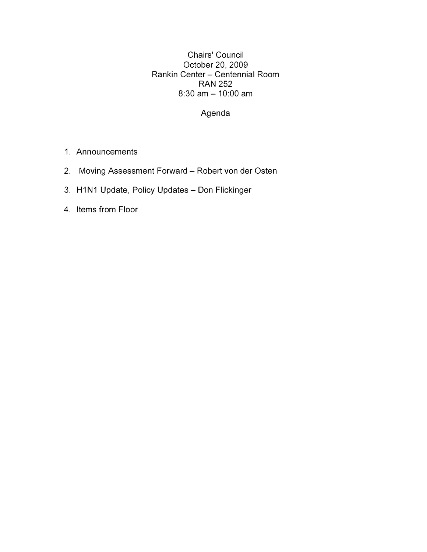Chairs' Council October 20, 2009 Rankin Center - Centennial Room RAN 252  $8:30$  am  $- 10:00$  am

### Agenda

- 1. Announcements
- 2. Moving Assessment Forward Robert von der Osten
- 3. H1N1 Update, Policy Updates Don Flickinger
- 4. Items from Floor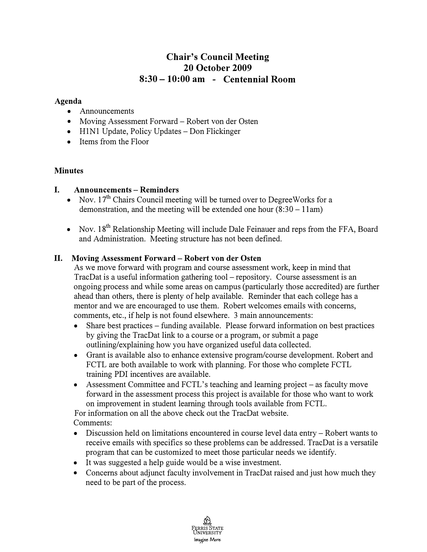# **Chair's Council Meeting 20 October 2009 8:30 - 10:00 am - Centennial Room**

#### **Agenda**

- Announcements
- Moving Assessment Forward Robert von der Osten
- H1N1 Update, Policy Updates Don Flickinger
- Items from the Floor

#### **Minutes**

#### **I. Announcements - Reminders**

- Nov.  $17<sup>th</sup>$  Chairs Council meeting will be turned over to Degree Works for a demonstration, and the meeting will be extended one hour  $(8:30-11$ am)
- Nov.  $18<sup>th</sup>$  Relationship Meeting will include Dale Feinauer and reps from the FFA, Board and Administration. Meeting structure has not been defined.

#### **II. Moving Assessment Forward - Robert von der Osten**

As we move forward with program and course assessment work, keep in mind that TracDat is a useful information gathering tool – repository. Course assessment is an ongoing process and while some areas on campus (particularly those accredited) are further ahead than others, there is plenty of help available. Reminder that each college has a mentor and we are encouraged to use them. Robert welcomes emails with concerns, comments, etc., if help is not found elsewhere. 3 main announcements:

- Share best practices funding available. Please forward information on best practices by giving the TracDat link to a course or a program, or submit a page outlining/explaining how you have organized useful data collected.
- Grant is available also to enhance extensive program/course development. Robert and FCTL are both available to work with planning. For those who complete FCTL training PDI incentives are available.
- Assessment Committee and FCTL's teaching and learning project as faculty move forward in the assessment process this project is available for those who want to work on improvement in student learning through tools available from FCTL.

For information on all the above check out the TracDat website. Comments:

- Discussion held on limitations encountered in course level data entry Robert wants to receive emails with specifics so these problems can be addressed. TracDat is a versatile program that can be customized to meet those particular needs we identify.
- It was suggested a help guide would be a wise investment.
- Concerns about adjunct faculty involvement in TracDat raised and just how much they need to be part of the process.